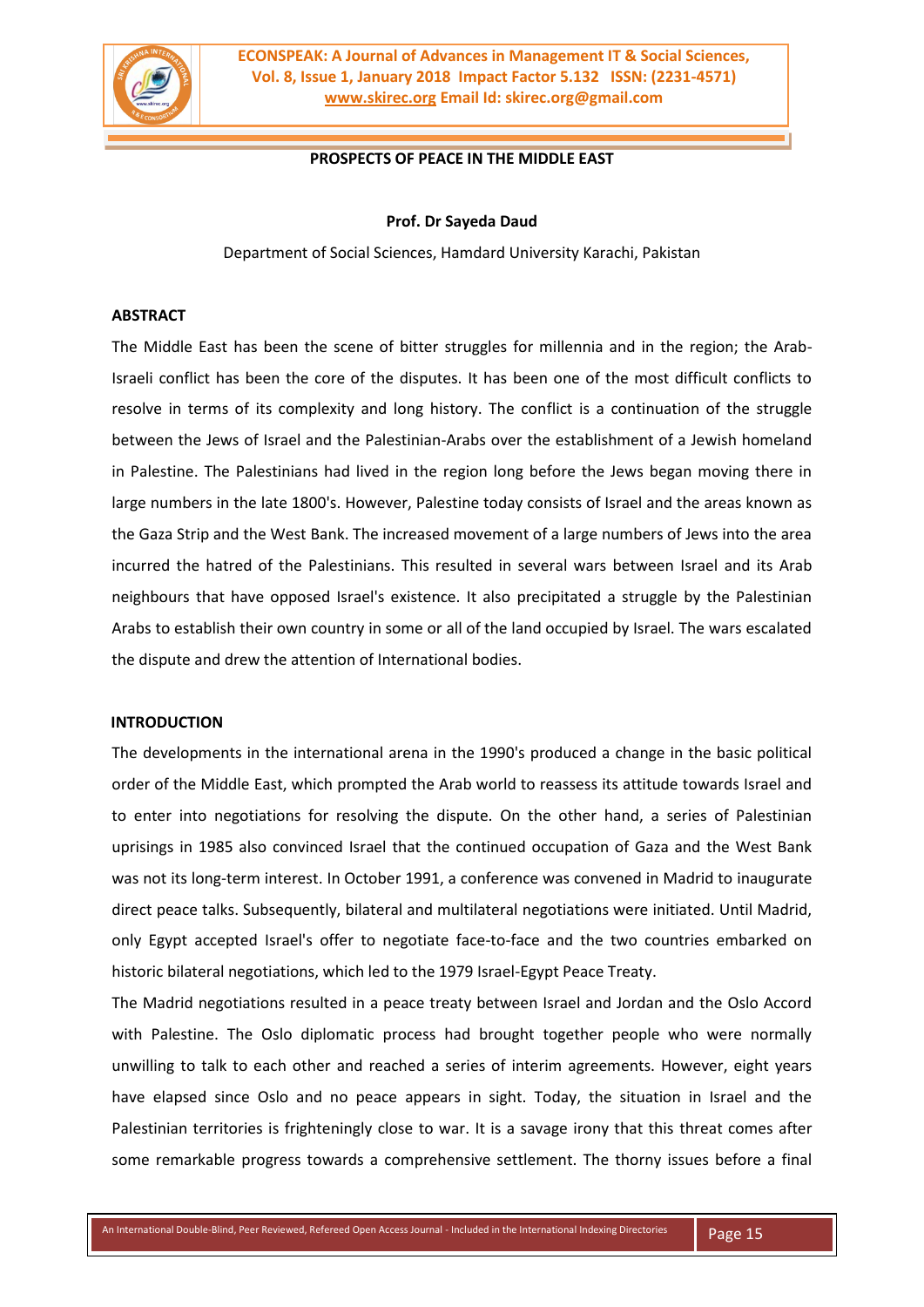

**ECONSPEAK: A Journal of Advances in Management IT & Social Sciences, Vol. 8, Issue 1, January 2018 Impact Factor 5.132 ISSN: (2231-4571) www.skirec.org Email Id: skirec.org@gmail.com**

# **PROSPECTS OF PEACE IN THE MIDDLE EAST**

#### **Prof. Dr Sayeda Daud**

Department of Social Sciences, Hamdard University Karachi, Pakistan

## **ABSTRACT**

The Middle East has been the scene of bitter struggles for millennia and in the region; the Arab-Israeli conflict has been the core of the disputes. It has been one of the most difficult conflicts to resolve in terms of its complexity and long history. The conflict is a continuation of the struggle between the Jews of Israel and the Palestinian-Arabs over the establishment of a Jewish homeland in Palestine. The Palestinians had lived in the region long before the Jews began moving there in large numbers in the late 1800's. However, Palestine today consists of Israel and the areas known as the Gaza Strip and the West Bank. The increased movement of a large numbers of Jews into the area incurred the hatred of the Palestinians. This resulted in several wars between Israel and its Arab neighbours that have opposed Israel's existence. It also precipitated a struggle by the Palestinian Arabs to establish their own country in some or all of the land occupied by Israel. The wars escalated the dispute and drew the attention of International bodies.

#### **INTRODUCTION**

The developments in the international arena in the 1990's produced a change in the basic political order of the Middle East, which prompted the Arab world to reassess its attitude towards Israel and to enter into negotiations for resolving the dispute. On the other hand, a series of Palestinian uprisings in 1985 also convinced Israel that the continued occupation of Gaza and the West Bank was not its long-term interest. In October 1991, a conference was convened in Madrid to inaugurate direct peace talks. Subsequently, bilateral and multilateral negotiations were initiated. Until Madrid, only Egypt accepted Israel's offer to negotiate face-to-face and the two countries embarked on historic bilateral negotiations, which led to the 1979 Israel-Egypt Peace Treaty.

The Madrid negotiations resulted in a peace treaty between Israel and Jordan and the Oslo Accord with Palestine. The Oslo diplomatic process had brought together people who were normally unwilling to talk to each other and reached a series of interim agreements. However, eight years have elapsed since Oslo and no peace appears in sight. Today, the situation in Israel and the Palestinian territories is frighteningly close to war. It is a savage irony that this threat comes after some remarkable progress towards a comprehensive settlement. The thorny issues before a final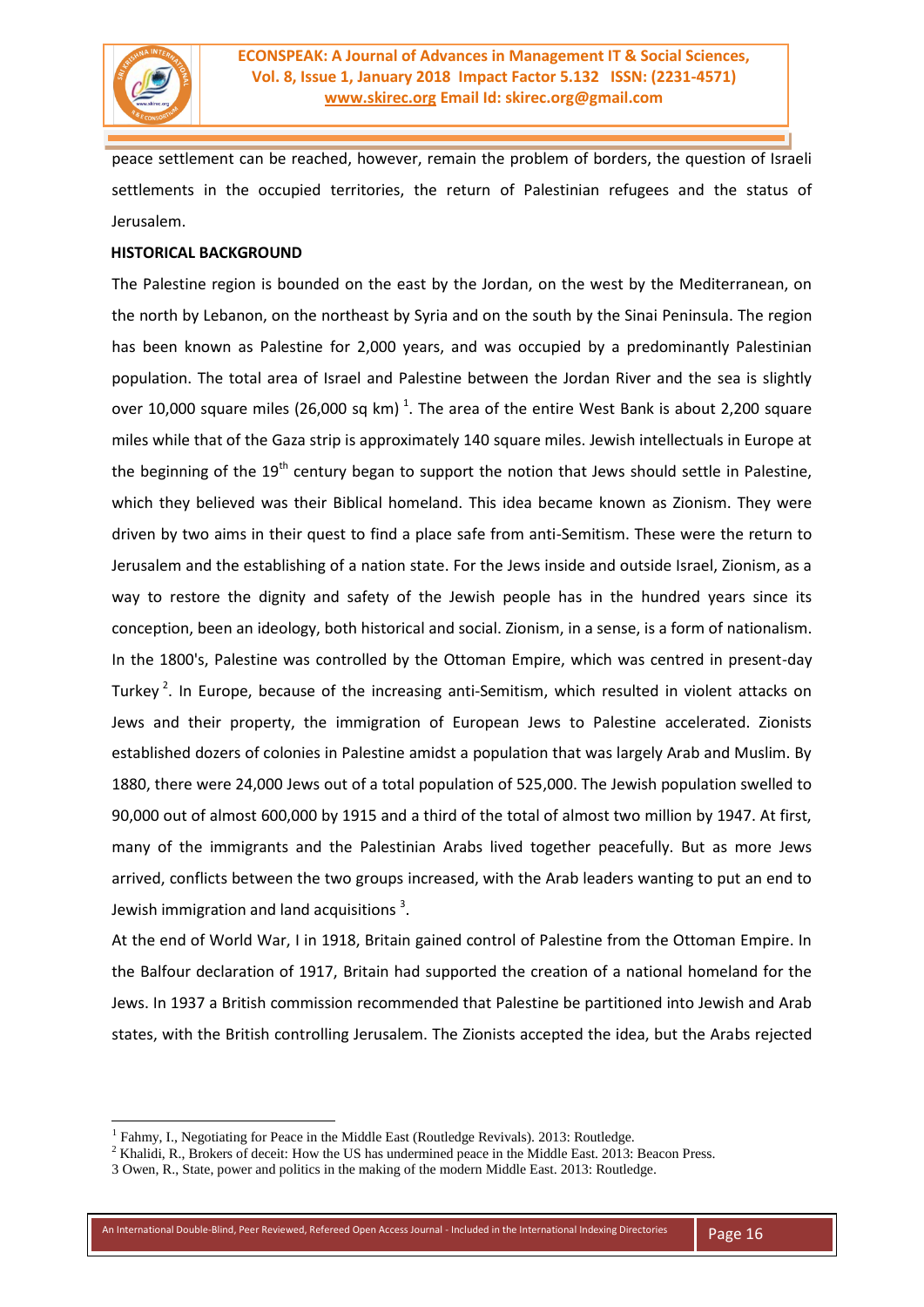

peace settlement can be reached, however, remain the problem of borders, the question of Israeli settlements in the occupied territories, the return of Palestinian refugees and the status of Jerusalem.

# **HISTORICAL BACKGROUND**

The Palestine region is bounded on the east by the Jordan, on the west by the Mediterranean, on the north by Lebanon, on the northeast by Syria and on the south by the Sinai Peninsula. The region has been known as Palestine for 2,000 years, and was occupied by a predominantly Palestinian population. The total area of Israel and Palestine between the Jordan River and the sea is slightly over 10,000 square miles (26,000 sq km)<sup>1</sup>. The area of the entire West Bank is about 2,200 square miles while that of the Gaza strip is approximately 140 square miles. Jewish intellectuals in Europe at the beginning of the  $19<sup>th</sup>$  century began to support the notion that Jews should settle in Palestine, which they believed was their Biblical homeland. This idea became known as Zionism. They were driven by two aims in their quest to find a place safe from anti-Semitism. These were the return to Jerusalem and the establishing of a nation state. For the Jews inside and outside Israel, Zionism, as a way to restore the dignity and safety of the Jewish people has in the hundred years since its conception, been an ideology, both historical and social. Zionism, in a sense, is a form of nationalism. In the 1800's, Palestine was controlled by the Ottoman Empire, which was centred in present-day Turkey<sup>2</sup>. In Europe, because of the increasing anti-Semitism, which resulted in violent attacks on Jews and their property, the immigration of European Jews to Palestine accelerated. Zionists established dozers of colonies in Palestine amidst a population that was largely Arab and Muslim. By 1880, there were 24,000 Jews out of a total population of 525,000. The Jewish population swelled to 90,000 out of almost 600,000 by 1915 and a third of the total of almost two million by 1947. At first, many of the immigrants and the Palestinian Arabs lived together peacefully. But as more Jews arrived, conflicts between the two groups increased, with the Arab leaders wanting to put an end to Jewish immigration and land acquisitions  $^3$ .

At the end of World War, I in 1918, Britain gained control of Palestine from the Ottoman Empire. In the Balfour declaration of 1917, Britain had supported the creation of a national homeland for the Jews. In 1937 a British commission recommended that Palestine be partitioned into Jewish and Arab states, with the British controlling Jerusalem. The Zionists accepted the idea, but the Arabs rejected

<sup>&</sup>lt;sup>1</sup> Fahmy, I., Negotiating for Peace in the Middle East (Routledge Revivals). 2013: Routledge.

<sup>&</sup>lt;sup>2</sup> Khalidi, R., Brokers of deceit: How the US has undermined peace in the Middle East. 2013: Beacon Press.

<sup>3</sup> Owen, R., State, power and politics in the making of the modern Middle East. 2013: Routledge.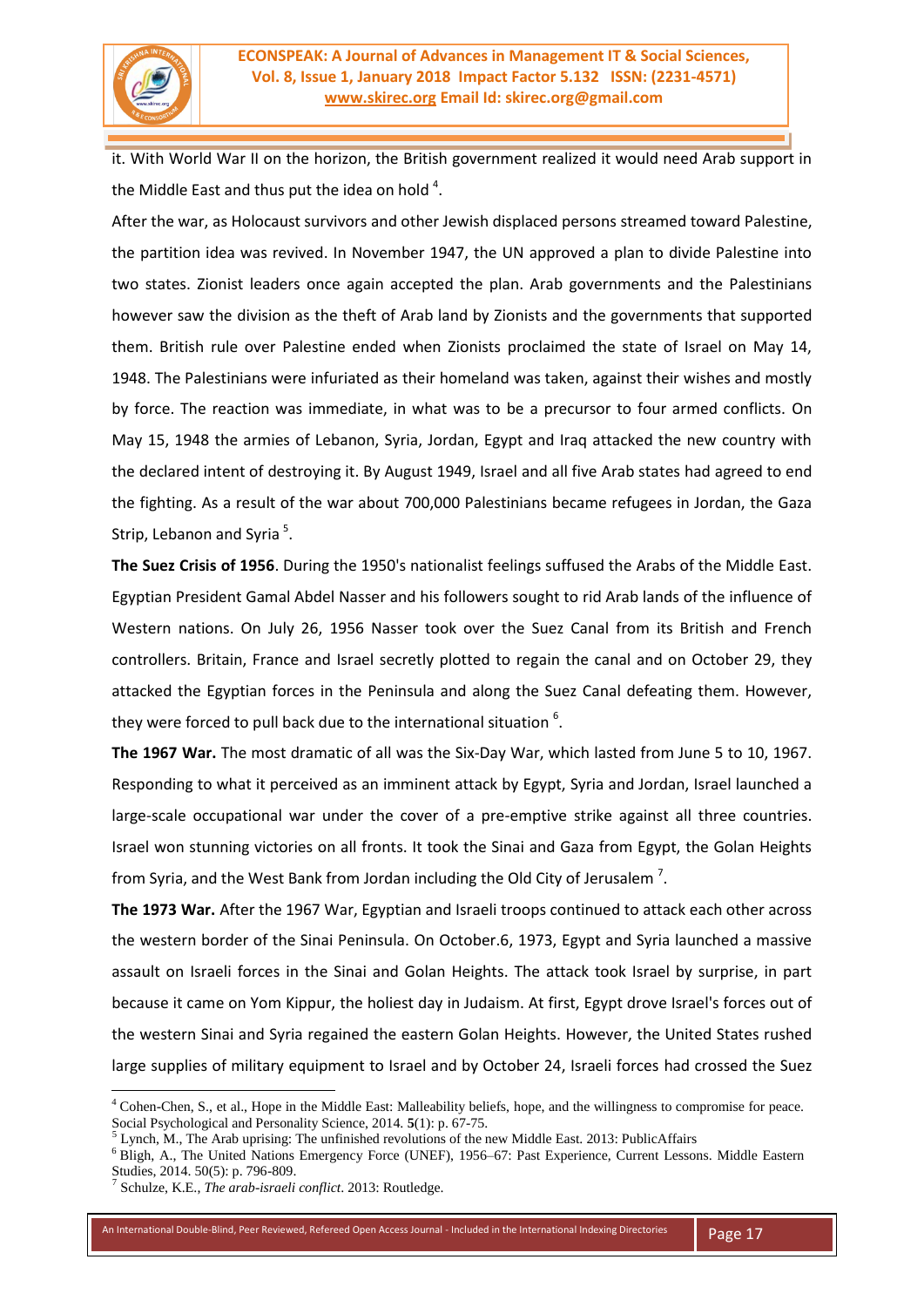

it. With World War II on the horizon, the British government realized it would need Arab support in the Middle East and thus put the idea on hold  $4$ .

After the war, as Holocaust survivors and other Jewish displaced persons streamed toward Palestine, the partition idea was revived. In November 1947, the UN approved a plan to divide Palestine into two states. Zionist leaders once again accepted the plan. Arab governments and the Palestinians however saw the division as the theft of Arab land by Zionists and the governments that supported them. British rule over Palestine ended when Zionists proclaimed the state of Israel on May 14, 1948. The Palestinians were infuriated as their homeland was taken, against their wishes and mostly by force. The reaction was immediate, in what was to be a precursor to four armed conflicts. On May 15, 1948 the armies of Lebanon, Syria, Jordan, Egypt and Iraq attacked the new country with the declared intent of destroying it. By August 1949, Israel and all five Arab states had agreed to end the fighting. As a result of the war about 700,000 Palestinians became refugees in Jordan, the Gaza Strip, Lebanon and Syria<sup>5</sup>.

**The Suez Crisis of 1956**. During the 1950's nationalist feelings suffused the Arabs of the Middle East. Egyptian President Gamal Abdel Nasser and his followers sought to rid Arab lands of the influence of Western nations. On July 26, 1956 Nasser took over the Suez Canal from its British and French controllers. Britain, France and Israel secretly plotted to regain the canal and on October 29, they attacked the Egyptian forces in the Peninsula and along the Suez Canal defeating them. However, they were forced to pull back due to the international situation  $6$ .

**The 1967 War.** The most dramatic of all was the Six-Day War, which lasted from June 5 to 10, 1967. Responding to what it perceived as an imminent attack by Egypt, Syria and Jordan, Israel launched a large-scale occupational war under the cover of a pre-emptive strike against all three countries. Israel won stunning victories on all fronts. It took the Sinai and Gaza from Egypt, the Golan Heights from Syria, and the West Bank from Jordan including the Old City of Jerusalem  $^7$ .

**The 1973 War.** After the 1967 War, Egyptian and Israeli troops continued to attack each other across the western border of the Sinai Peninsula. On October.6, 1973, Egypt and Syria launched a massive assault on Israeli forces in the Sinai and Golan Heights. The attack took Israel by surprise, in part because it came on Yom Kippur, the holiest day in Judaism. At first, Egypt drove Israel's forces out of the western Sinai and Syria regained the eastern Golan Heights. However, the United States rushed large supplies of military equipment to Israel and by October 24, Israeli forces had crossed the Suez

 $\overline{a}$ 

<sup>4</sup> Cohen-Chen, S., et al., Hope in the Middle East: Malleability beliefs, hope, and the willingness to compromise for peace. Social Psychological and Personality Science, 2014. **5**(1): p. 67-75.

 $<sup>5</sup>$  Lynch, M., The Arab uprising: The unfinished revolutions of the new Middle East. 2013: PublicAffairs</sup>

<sup>&</sup>lt;sup>6</sup> Bligh, A., The United Nations Emergency Force (UNEF), 1956–67: Past Experience, Current Lessons. Middle Eastern Studies, 2014. 50(5): p. 796-809.

<sup>7</sup> Schulze, K.E., *The arab-israeli conflict*. 2013: Routledge.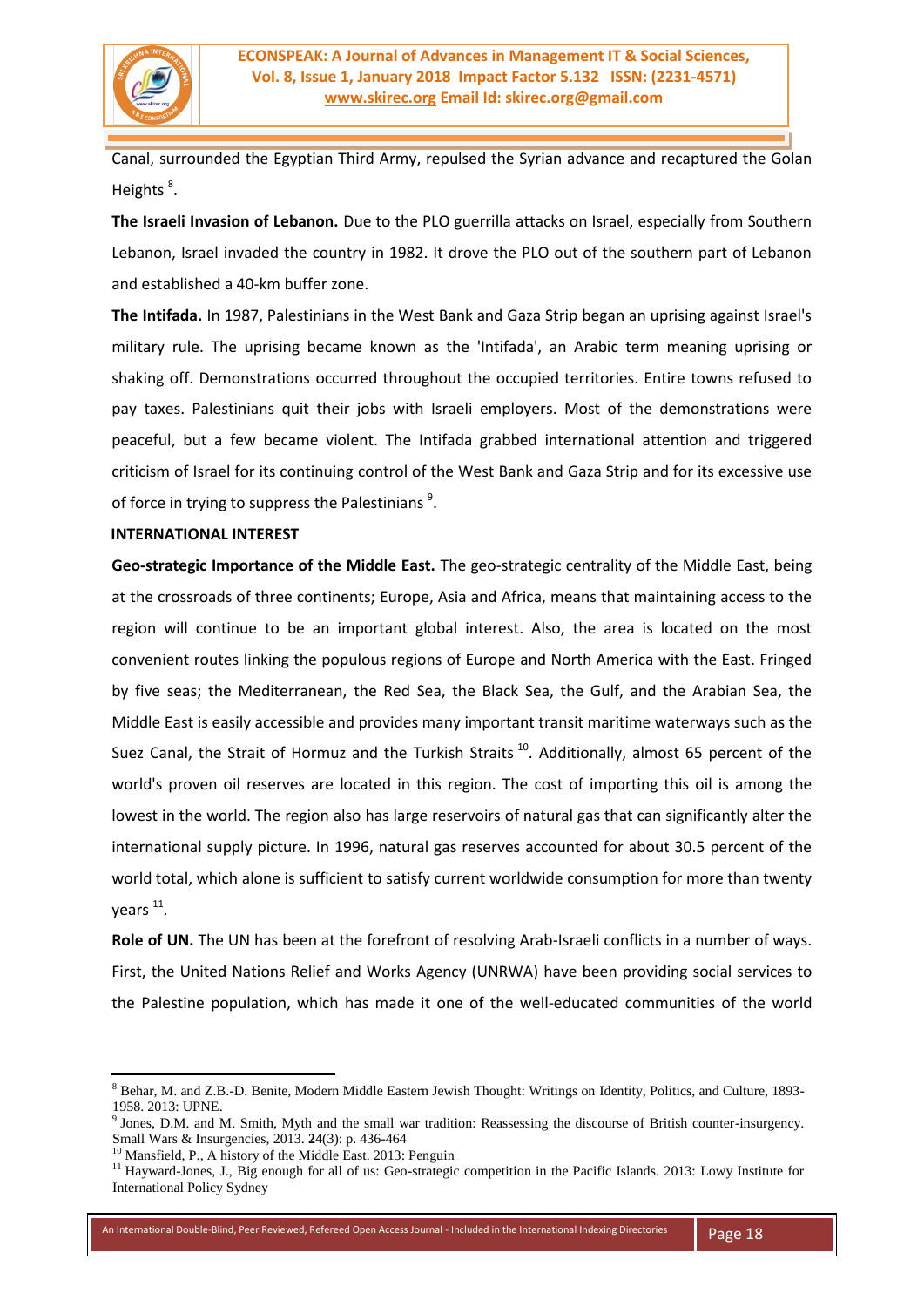

Canal, surrounded the Egyptian Third Army, repulsed the Syrian advance and recaptured the Golan Heights<sup>8</sup>.

**The Israeli Invasion of Lebanon.** Due to the PLO guerrilla attacks on Israel, especially from Southern Lebanon, Israel invaded the country in 1982. It drove the PLO out of the southern part of Lebanon and established a 40-km buffer zone.

**The Intifada.** In 1987, Palestinians in the West Bank and Gaza Strip began an uprising against Israel's military rule. The uprising became known as the 'Intifada', an Arabic term meaning uprising or shaking off. Demonstrations occurred throughout the occupied territories. Entire towns refused to pay taxes. Palestinians quit their jobs with Israeli employers. Most of the demonstrations were peaceful, but a few became violent. The Intifada grabbed international attention and triggered criticism of Israel for its continuing control of the West Bank and Gaza Strip and for its excessive use of force in trying to suppress the Palestinians<sup>9</sup>.

## **INTERNATIONAL INTEREST**

**Geo-strategic Importance of the Middle East.** The geo-strategic centrality of the Middle East, being at the crossroads of three continents; Europe, Asia and Africa, means that maintaining access to the region will continue to be an important global interest. Also, the area is located on the most convenient routes linking the populous regions of Europe and North America with the East. Fringed by five seas; the Mediterranean, the Red Sea, the Black Sea, the Gulf, and the Arabian Sea, the Middle East is easily accessible and provides many important transit maritime waterways such as the Suez Canal, the Strait of Hormuz and the Turkish Straits<sup>10</sup>. Additionally, almost 65 percent of the world's proven oil reserves are located in this region. The cost of importing this oil is among the lowest in the world. The region also has large reservoirs of natural gas that can significantly alter the international supply picture. In 1996, natural gas reserves accounted for about 30.5 percent of the world total, which alone is sufficient to satisfy current worldwide consumption for more than twenty years<sup>11</sup>.

**Role of UN.** The UN has been at the forefront of resolving Arab-Israeli conflicts in a number of ways. First, the United Nations Relief and Works Agency (UNRWA) have been providing social services to the Palestine population, which has made it one of the well-educated communities of the world

**.** 

<sup>8</sup> Behar, M. and Z.B.-D. Benite, Modern Middle Eastern Jewish Thought: Writings on Identity, Politics, and Culture, 1893- 1958. 2013: UPNE.

<sup>9</sup> Jones, D.M. and M. Smith, Myth and the small war tradition: Reassessing the discourse of British counter-insurgency. Small Wars & Insurgencies, 2013. **24**(3): p. 436-464

<sup>&</sup>lt;sup>10</sup> Mansfield, P., A history of the Middle East. 2013: Penguin

<sup>&</sup>lt;sup>11</sup> Hayward-Jones, J., Big enough for all of us: Geo-strategic competition in the Pacific Islands. 2013: Lowy Institute for International Policy Sydney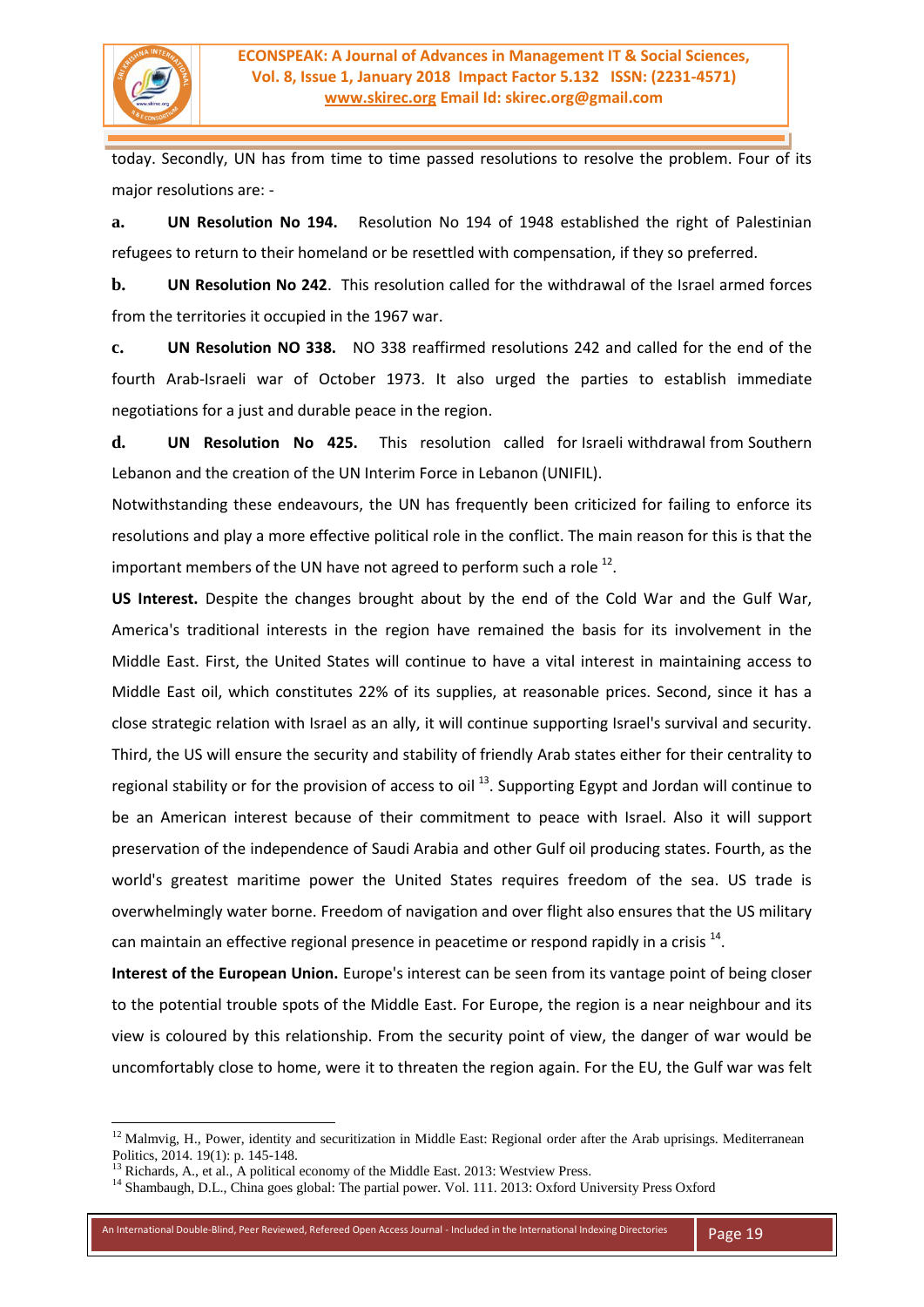

today. Secondly, UN has from time to time passed resolutions to resolve the problem. Four of its major resolutions are: -

**a. UN Resolution No 194.** Resolution No 194 of 1948 established the right of Palestinian refugees to return to their homeland or be resettled with compensation, if they so preferred.

**b. UN Resolution No 242**. This resolution called for the withdrawal of the Israel armed forces from the territories it occupied in the 1967 war.

**c. UN Resolution NO 338.** NO 338 reaffirmed resolutions 242 and called for the end of the fourth Arab-Israeli war of October 1973. It also urged the parties to establish immediate negotiations for a just and durable peace in the region.

**d. UN Resolution No 425.** This resolution called for Israeli withdrawal from Southern Lebanon and the creation of the UN Interim Force in Lebanon (UNIFIL).

Notwithstanding these endeavours, the UN has frequently been criticized for failing to enforce its resolutions and play a more effective political role in the conflict. The main reason for this is that the important members of the UN have not agreed to perform such a role  $^{12}$ .

**US Interest.** Despite the changes brought about by the end of the Cold War and the Gulf War, America's traditional interests in the region have remained the basis for its involvement in the Middle East. First, the United States will continue to have a vital interest in maintaining access to Middle East oil, which constitutes 22% of its supplies, at reasonable prices. Second, since it has a close strategic relation with Israel as an ally, it will continue supporting Israel's survival and security. Third, the US will ensure the security and stability of friendly Arab states either for their centrality to regional stability or for the provision of access to oil  $^{13}$ . Supporting Egypt and Jordan will continue to be an American interest because of their commitment to peace with Israel. Also it will support preservation of the independence of Saudi Arabia and other Gulf oil producing states. Fourth, as the world's greatest maritime power the United States requires freedom of the sea. US trade is overwhelmingly water borne. Freedom of navigation and over flight also ensures that the US military can maintain an effective regional presence in peacetime or respond rapidly in a crisis  $^{14}$ .

**Interest of the European Union.** Europe's interest can be seen from its vantage point of being closer to the potential trouble spots of the Middle East. For Europe, the region is a near neighbour and its view is coloured by this relationship. From the security point of view, the danger of war would be uncomfortably close to home, were it to threaten the region again. For the EU, the Gulf war was felt

<sup>&</sup>lt;sup>12</sup> Malmvig, H., Power, identity and securitization in Middle East: Regional order after the Arab uprisings. Mediterranean Politics, 2014. 19(1): p. 145-148.

<sup>&</sup>lt;sup>13</sup> Richards, A., et al., A political economy of the Middle East. 2013: Westview Press.

<sup>&</sup>lt;sup>14</sup> Shambaugh, D.L., China goes global: The partial power. Vol. 111. 2013: Oxford University Press Oxford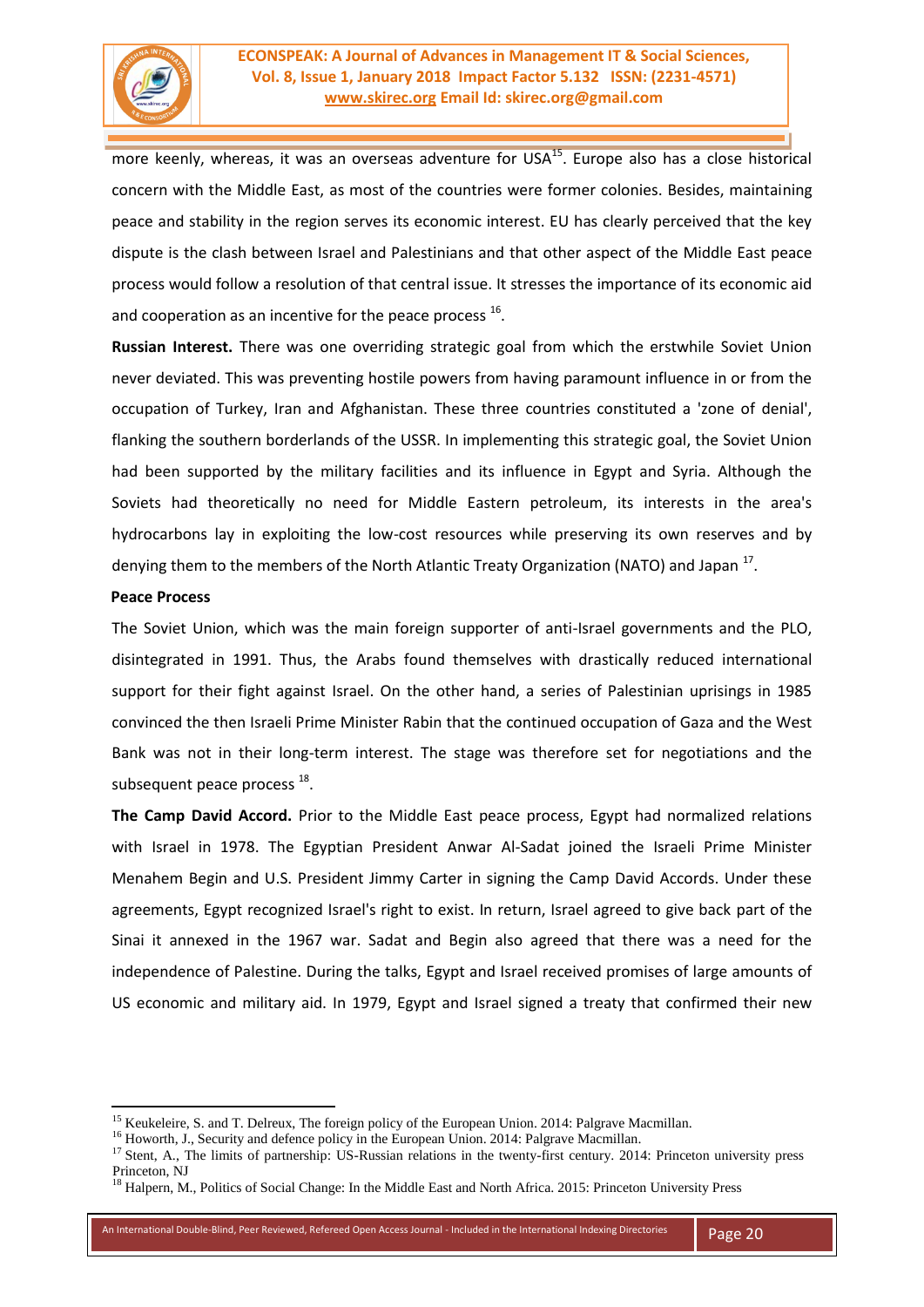

more keenly, whereas, it was an overseas adventure for USA $^{15}$ . Europe also has a close historical concern with the Middle East, as most of the countries were former colonies. Besides, maintaining peace and stability in the region serves its economic interest. EU has clearly perceived that the key dispute is the clash between Israel and Palestinians and that other aspect of the Middle East peace process would follow a resolution of that central issue. It stresses the importance of its economic aid and cooperation as an incentive for the peace process  $^{16}$ .

**Russian Interest.** There was one overriding strategic goal from which the erstwhile Soviet Union never deviated. This was preventing hostile powers from having paramount influence in or from the occupation of Turkey, Iran and Afghanistan. These three countries constituted a 'zone of denial', flanking the southern borderlands of the USSR. In implementing this strategic goal, the Soviet Union had been supported by the military facilities and its influence in Egypt and Syria. Although the Soviets had theoretically no need for Middle Eastern petroleum, its interests in the area's hydrocarbons lay in exploiting the low-cost resources while preserving its own reserves and by denying them to the members of the North Atlantic Treaty Organization (NATO) and Japan<sup>17</sup>.

# **Peace Process**

1

The Soviet Union, which was the main foreign supporter of anti-Israel governments and the PLO, disintegrated in 1991. Thus, the Arabs found themselves with drastically reduced international support for their fight against Israel. On the other hand, a series of Palestinian uprisings in 1985 convinced the then Israeli Prime Minister Rabin that the continued occupation of Gaza and the West Bank was not in their long-term interest. The stage was therefore set for negotiations and the subsequent peace process <sup>18</sup>.

**The Camp David Accord.** Prior to the Middle East peace process, Egypt had normalized relations with Israel in 1978. The Egyptian President Anwar Al-Sadat joined the Israeli Prime Minister Menahem Begin and U.S. President Jimmy Carter in signing the Camp David Accords. Under these agreements, Egypt recognized Israel's right to exist. In return, Israel agreed to give back part of the Sinai it annexed in the 1967 war. Sadat and Begin also agreed that there was a need for the independence of Palestine. During the talks, Egypt and Israel received promises of large amounts of US economic and military aid. In 1979, Egypt and Israel signed a treaty that confirmed their new

<sup>&</sup>lt;sup>15</sup> Keukeleire, S. and T. Delreux, The foreign policy of the European Union. 2014: Palgrave Macmillan.

<sup>&</sup>lt;sup>16</sup> Howorth, J., Security and defence policy in the European Union. 2014: Palgrave Macmillan.

<sup>&</sup>lt;sup>17</sup> Stent, A., The limits of partnership: US-Russian relations in the twenty-first century. 2014: Princeton university press Princeton, NJ

<sup>&</sup>lt;sup>18</sup> Halpern, M., Politics of Social Change: In the Middle East and North Africa. 2015: Princeton University Press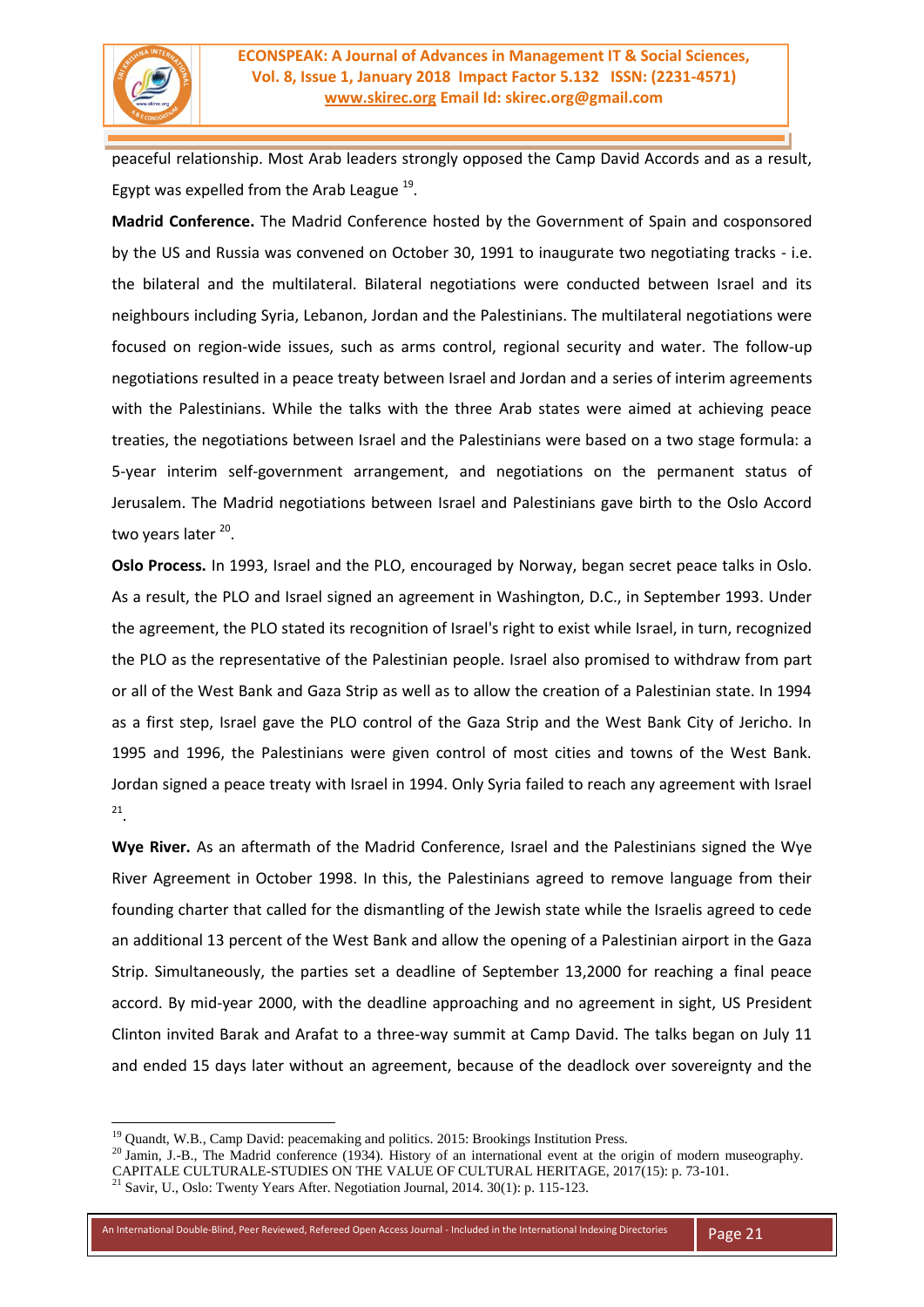

peaceful relationship. Most Arab leaders strongly opposed the Camp David Accords and as a result, Egypt was expelled from the Arab League  $^{19}$ .

**Madrid Conference.** The Madrid Conference hosted by the Government of Spain and cosponsored by the US and Russia was convened on October 30, 1991 to inaugurate two negotiating tracks - i.e. the bilateral and the multilateral. Bilateral negotiations were conducted between Israel and its neighbours including Syria, Lebanon, Jordan and the Palestinians. The multilateral negotiations were focused on region-wide issues, such as arms control, regional security and water. The follow-up negotiations resulted in a peace treaty between Israel and Jordan and a series of interim agreements with the Palestinians. While the talks with the three Arab states were aimed at achieving peace treaties, the negotiations between Israel and the Palestinians were based on a two stage formula: a 5-year interim self-government arrangement, and negotiations on the permanent status of Jerusalem. The Madrid negotiations between Israel and Palestinians gave birth to the Oslo Accord two years later <sup>20</sup>.

**Oslo Process.** In 1993, Israel and the PLO, encouraged by Norway, began secret peace talks in Oslo. As a result, the PLO and Israel signed an agreement in Washington, D.C., in September 1993. Under the agreement, the PLO stated its recognition of Israel's right to exist while Israel, in turn, recognized the PLO as the representative of the Palestinian people. Israel also promised to withdraw from part or all of the West Bank and Gaza Strip as well as to allow the creation of a Palestinian state. In 1994 as a first step, Israel gave the PLO control of the Gaza Strip and the West Bank City of Jericho. In 1995 and 1996, the Palestinians were given control of most cities and towns of the West Bank. Jordan signed a peace treaty with Israel in 1994. Only Syria failed to reach any agreement with Israel 21 .

**Wye River.** As an aftermath of the Madrid Conference, Israel and the Palestinians signed the Wye River Agreement in October 1998. In this, the Palestinians agreed to remove language from their founding charter that called for the dismantling of the Jewish state while the Israelis agreed to cede an additional 13 percent of the West Bank and allow the opening of a Palestinian airport in the Gaza Strip. Simultaneously, the parties set a deadline of September 13,2000 for reaching a final peace accord. By mid-year 2000, with the deadline approaching and no agreement in sight, US President Clinton invited Barak and Arafat to a three-way summit at Camp David. The talks began on July 11 and ended 15 days later without an agreement, because of the deadlock over sovereignty and the

<sup>&</sup>lt;sup>19</sup> Quandt, W.B., Camp David: peacemaking and politics. 2015: Brookings Institution Press.

<sup>&</sup>lt;sup>20</sup> Jamin, J.-B., The Madrid conference (1934). History of an international event at the origin of modern museography.

CAPITALE CULTURALE-STUDIES ON THE VALUE OF CULTURAL HERITAGE, 2017(15): p. 73-101.

 $^{21}$  Savir, U., Oslo: Twenty Years After. Negotiation Journal, 2014. 30(1): p. 115-123.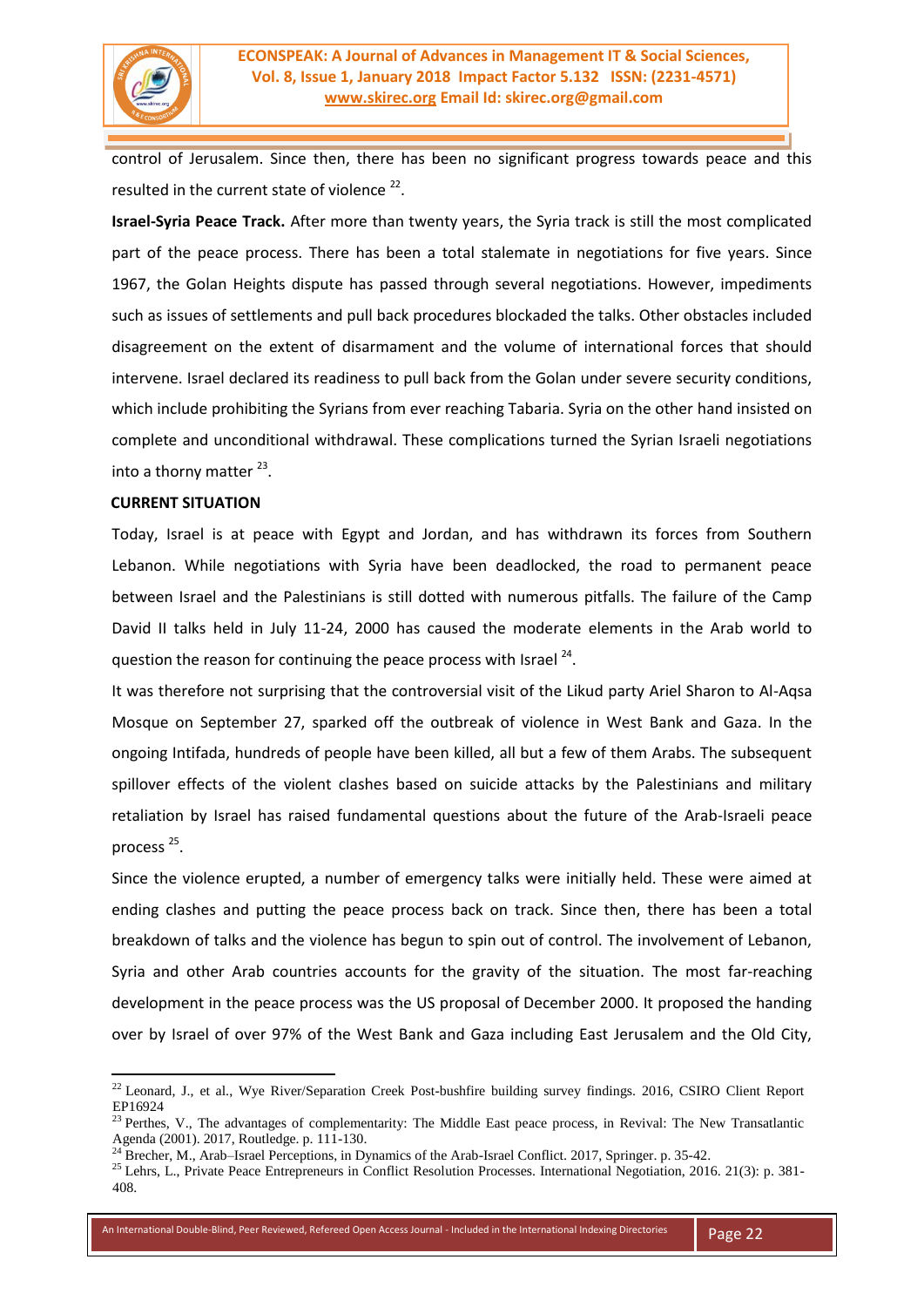

control of Jerusalem. Since then, there has been no significant progress towards peace and this resulted in the current state of violence  $22$ .

**Israel-Syria Peace Track.** After more than twenty years, the Syria track is still the most complicated part of the peace process. There has been a total stalemate in negotiations for five years. Since 1967, the Golan Heights dispute has passed through several negotiations. However, impediments such as issues of settlements and pull back procedures blockaded the talks. Other obstacles included disagreement on the extent of disarmament and the volume of international forces that should intervene. Israel declared its readiness to pull back from the Golan under severe security conditions, which include prohibiting the Syrians from ever reaching Tabaria. Syria on the other hand insisted on complete and unconditional withdrawal. These complications turned the Syrian Israeli negotiations into a thorny matter<sup>23</sup>.

## **CURRENT SITUATION**

**.** 

Today, Israel is at peace with Egypt and Jordan, and has withdrawn its forces from Southern Lebanon. While negotiations with Syria have been deadlocked, the road to permanent peace between Israel and the Palestinians is still dotted with numerous pitfalls. The failure of the Camp David II talks held in July 11-24, 2000 has caused the moderate elements in the Arab world to question the reason for continuing the peace process with Israel<sup>24</sup>.

It was therefore not surprising that the controversial visit of the Likud party Ariel Sharon to Al-Aqsa Mosque on September 27, sparked off the outbreak of violence in West Bank and Gaza. In the ongoing Intifada, hundreds of people have been killed, all but a few of them Arabs. The subsequent spillover effects of the violent clashes based on suicide attacks by the Palestinians and military retaliation by Israel has raised fundamental questions about the future of the Arab-Israeli peace process<sup>25</sup>.

Since the violence erupted, a number of emergency talks were initially held. These were aimed at ending clashes and putting the peace process back on track. Since then, there has been a total breakdown of talks and the violence has begun to spin out of control. The involvement of Lebanon, Syria and other Arab countries accounts for the gravity of the situation. The most far-reaching development in the peace process was the US proposal of December 2000. It proposed the handing over by Israel of over 97% of the West Bank and Gaza including East Jerusalem and the Old City,

 $^{22}$  Leonard, J., et al., Wye River/Separation Creek Post-bushfire building survey findings. 2016, CSIRO Client Report EP16924

<sup>&</sup>lt;sup>23</sup> Perthes, V., The advantages of complementarity: The Middle East peace process, in Revival: The New Transatlantic Agenda (2001). 2017, Routledge. p. 111-130.

<sup>&</sup>lt;sup>24</sup> Brecher, M., Arab–Israel Perceptions, in Dynamics of the Arab-Israel Conflict. 2017, Springer. p. 35-42.

<sup>&</sup>lt;sup>25</sup> Lehrs, L., Private Peace Entrepreneurs in Conflict Resolution Processes. International Negotiation, 2016. 21(3): p. 381-408.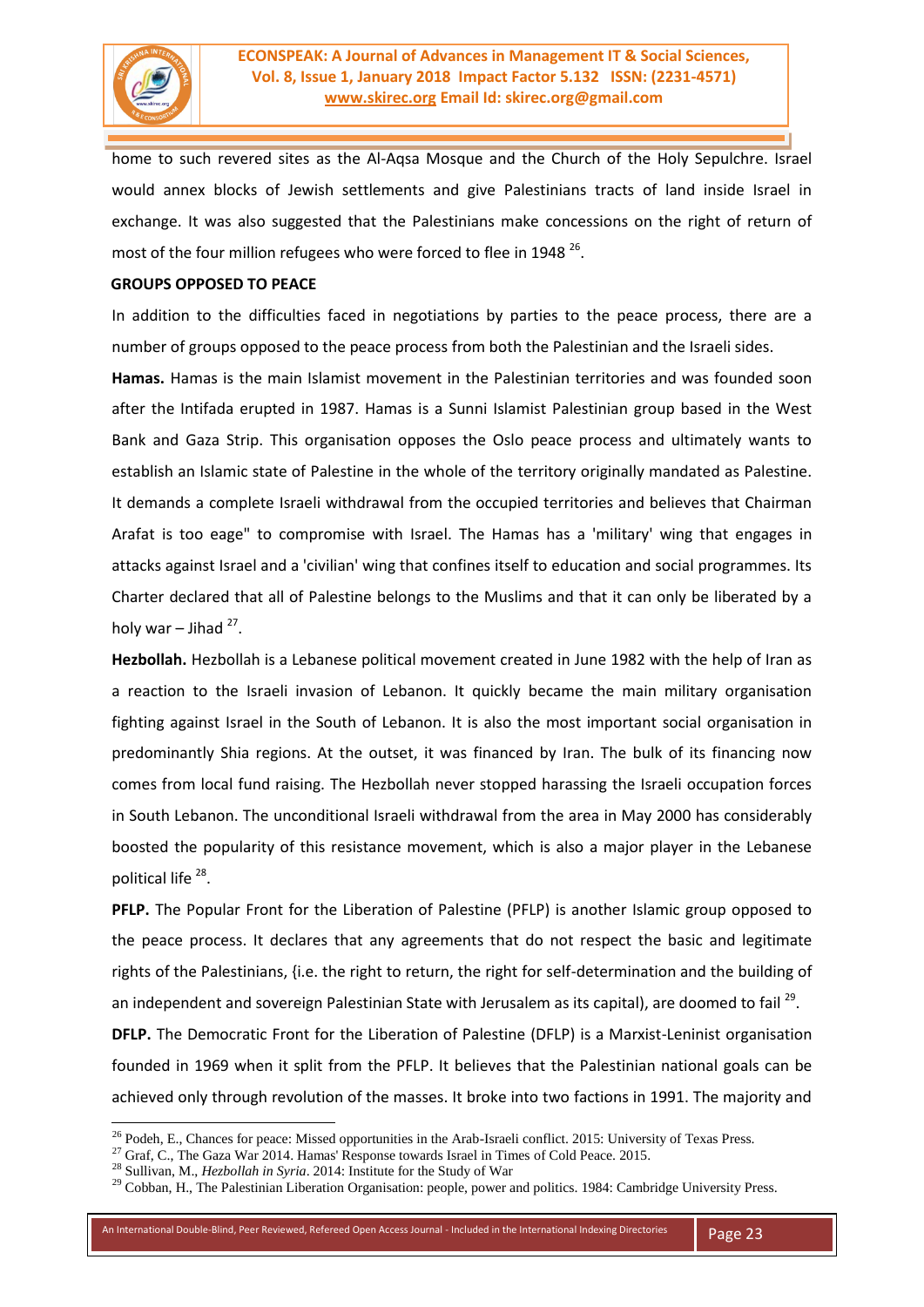

home to such revered sites as the Al-Aqsa Mosque and the Church of the Holy Sepulchre. Israel would annex blocks of Jewish settlements and give Palestinians tracts of land inside Israel in exchange. It was also suggested that the Palestinians make concessions on the right of return of most of the four million refugees who were forced to flee in 1948 <sup>26</sup>.

## **GROUPS OPPOSED TO PEACE**

In addition to the difficulties faced in negotiations by parties to the peace process, there are a number of groups opposed to the peace process from both the Palestinian and the Israeli sides.

**Hamas.** Hamas is the main Islamist movement in the Palestinian territories and was founded soon after the Intifada erupted in 1987. Hamas is a Sunni Islamist Palestinian group based in the West Bank and Gaza Strip. This organisation opposes the Oslo peace process and ultimately wants to establish an Islamic state of Palestine in the whole of the territory originally mandated as Palestine. It demands a complete Israeli withdrawal from the occupied territories and believes that Chairman Arafat is too eage" to compromise with Israel. The Hamas has a 'military' wing that engages in attacks against Israel and a 'civilian' wing that confines itself to education and social programmes. Its Charter declared that all of Palestine belongs to the Muslims and that it can only be liberated by a holy war  $-$  Jihad  $27$ .

**Hezbollah.** Hezbollah is a Lebanese political movement created in June 1982 with the help of Iran as a reaction to the Israeli invasion of Lebanon. It quickly became the main military organisation fighting against Israel in the South of Lebanon. It is also the most important social organisation in predominantly Shia regions. At the outset, it was financed by Iran. The bulk of its financing now comes from local fund raising. The Hezbollah never stopped harassing the Israeli occupation forces in South Lebanon. The unconditional Israeli withdrawal from the area in May 2000 has considerably boosted the popularity of this resistance movement, which is also a major player in the Lebanese political life<sup>28</sup>.

**PFLP.** The Popular Front for the Liberation of Palestine (PFLP) is another Islamic group opposed to the peace process. It declares that any agreements that do not respect the basic and legitimate rights of the Palestinians, {i.e. the right to return, the right for self-determination and the building of an independent and sovereign Palestinian State with Jerusalem as its capital), are doomed to fail <sup>29</sup>. **DFLP.** The Democratic Front for the Liberation of Palestine (DFLP) is a Marxist-Leninist organisation founded in 1969 when it split from the PFLP. It believes that the Palestinian national goals can be achieved only through revolution of the masses. It broke into two factions in 1991. The majority and

**.** 

<sup>&</sup>lt;sup>26</sup> Podeh, E., Chances for peace: Missed opportunities in the Arab-Israeli conflict. 2015: University of Texas Press.

<sup>&</sup>lt;sup>27</sup> Graf, C., The Gaza War 2014. Hamas' Response towards Israel in Times of Cold Peace. 2015.

<sup>28</sup> Sullivan, M., *Hezbollah in Syria*. 2014: Institute for the Study of War

 $29$  Cobban, H., The Palestinian Liberation Organisation: people, power and politics. 1984: Cambridge University Press.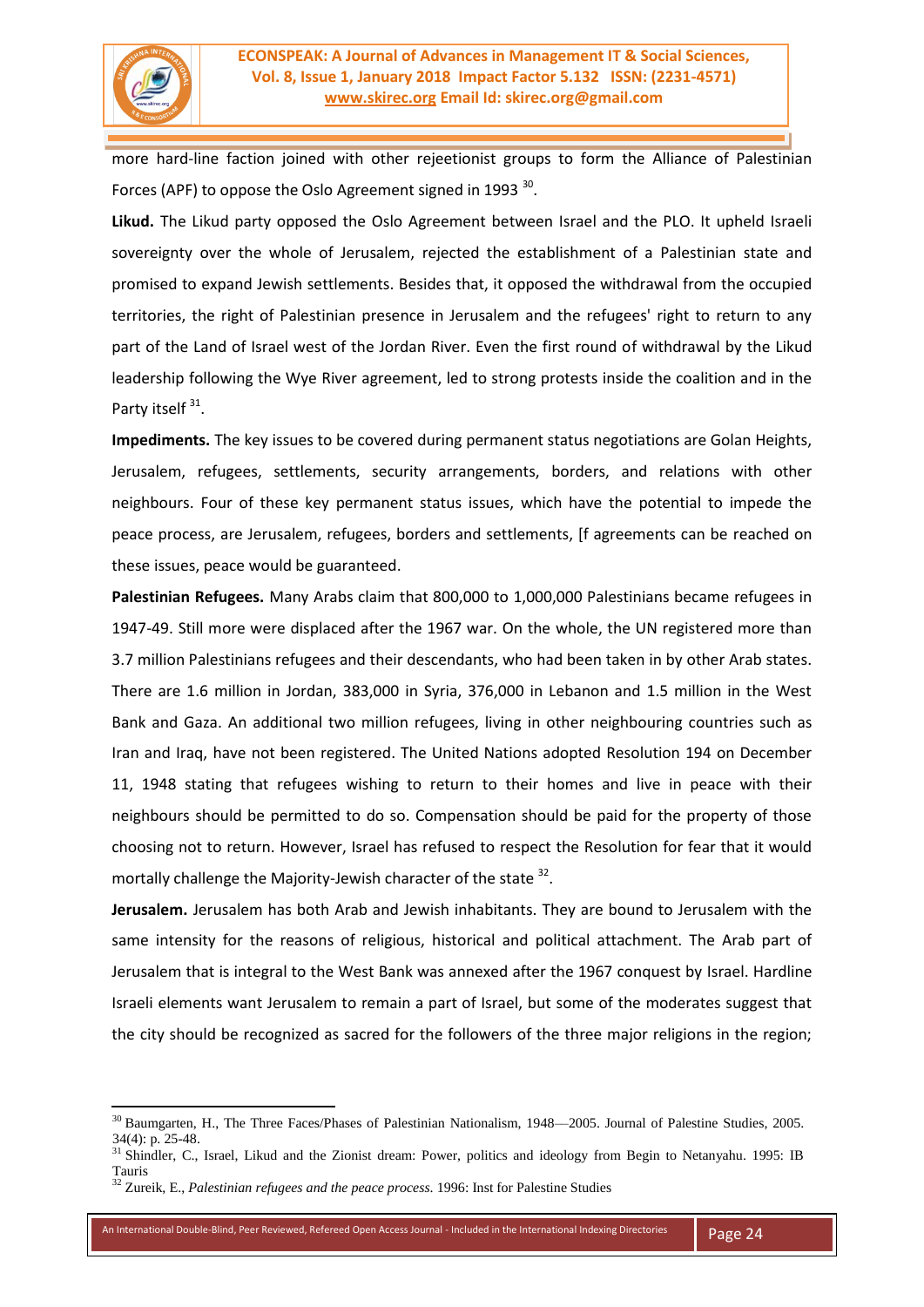

1

more hard-line faction joined with other rejeetionist groups to form the Alliance of Palestinian Forces (APF) to oppose the Oslo Agreement signed in 1993  $^{30}$ .

**Likud.** The Likud party opposed the Oslo Agreement between Israel and the PLO. It upheld Israeli sovereignty over the whole of Jerusalem, rejected the establishment of a Palestinian state and promised to expand Jewish settlements. Besides that, it opposed the withdrawal from the occupied territories, the right of Palestinian presence in Jerusalem and the refugees' right to return to any part of the Land of Israel west of the Jordan River. Even the first round of withdrawal by the Likud leadership following the Wye River agreement, led to strong protests inside the coalition and in the Party itself<sup>31</sup>.

**Impediments.** The key issues to be covered during permanent status negotiations are Golan Heights, Jerusalem, refugees, settlements, security arrangements, borders, and relations with other neighbours. Four of these key permanent status issues, which have the potential to impede the peace process, are Jerusalem, refugees, borders and settlements, [f agreements can be reached on these issues, peace would be guaranteed.

**Palestinian Refugees.** Many Arabs claim that 800,000 to 1,000,000 Palestinians became refugees in 1947-49. Still more were displaced after the 1967 war. On the whole, the UN registered more than 3.7 million Palestinians refugees and their descendants, who had been taken in by other Arab states. There are 1.6 million in Jordan, 383,000 in Syria, 376,000 in Lebanon and 1.5 million in the West Bank and Gaza. An additional two million refugees, living in other neighbouring countries such as Iran and Iraq, have not been registered. The United Nations adopted Resolution 194 on December 11, 1948 stating that refugees wishing to return to their homes and live in peace with their neighbours should be permitted to do so. Compensation should be paid for the property of those choosing not to return. However, Israel has refused to respect the Resolution for fear that it would mortally challenge the Majority-Jewish character of the state <sup>32</sup>.

**Jerusalem.** Jerusalem has both Arab and Jewish inhabitants. They are bound to Jerusalem with the same intensity for the reasons of religious, historical and political attachment. The Arab part of Jerusalem that is integral to the West Bank was annexed after the 1967 conquest by Israel. Hardline Israeli elements want Jerusalem to remain a part of Israel, but some of the moderates suggest that the city should be recognized as sacred for the followers of the three major religions in the region;

<sup>30</sup> Baumgarten, H., The Three Faces/Phases of Palestinian Nationalism, 1948––2005. Journal of Palestine Studies, 2005. 34(4): p. 25-48.

<sup>&</sup>lt;sup>31</sup> Shindler, C., Israel, Likud and the Zionist dream: Power, politics and ideology from Begin to Netanyahu. 1995: IB Tauris

<sup>32</sup> Zureik, E., *Palestinian refugees and the peace process*. 1996: Inst for Palestine Studies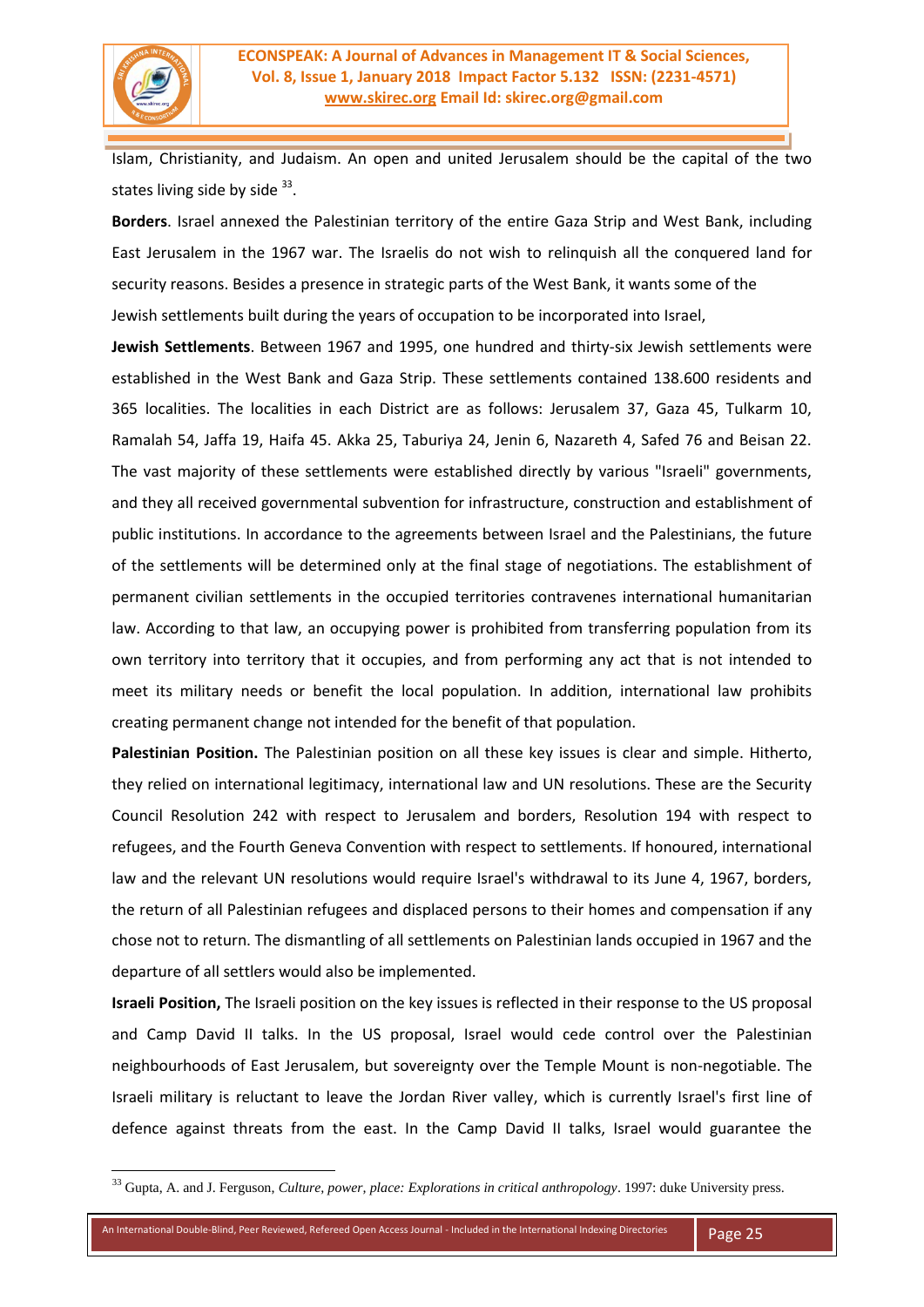

Islam, Christianity, and Judaism. An open and united Jerusalem should be the capital of the two states living side by side <sup>33</sup>.

**Borders**. Israel annexed the Palestinian territory of the entire Gaza Strip and West Bank, including East Jerusalem in the 1967 war. The Israelis do not wish to relinquish all the conquered land for security reasons. Besides a presence in strategic parts of the West Bank, it wants some of the Jewish settlements built during the years of occupation to be incorporated into Israel,

**Jewish Settlements**. Between 1967 and 1995, one hundred and thirty-six Jewish settlements were established in the West Bank and Gaza Strip. These settlements contained 138.600 residents and 365 localities. The localities in each District are as follows: Jerusalem 37, Gaza 45, Tulkarm 10, Ramalah 54, Jaffa 19, Haifa 45. Akka 25, Taburiya 24, Jenin 6, Nazareth 4, Safed 76 and Beisan 22. The vast majority of these settlements were established directly by various "Israeli" governments, and they all received governmental subvention for infrastructure, construction and establishment of public institutions. In accordance to the agreements between Israel and the Palestinians, the future of the settlements will be determined only at the final stage of negotiations. The establishment of permanent civilian settlements in the occupied territories contravenes international humanitarian law. According to that law, an occupying power is prohibited from transferring population from its own territory into territory that it occupies, and from performing any act that is not intended to meet its military needs or benefit the local population. In addition, international law prohibits creating permanent change not intended for the benefit of that population.

**Palestinian Position.** The Palestinian position on all these key issues is clear and simple. Hitherto, they relied on international legitimacy, international law and UN resolutions. These are the Security Council Resolution 242 with respect to Jerusalem and borders, Resolution 194 with respect to refugees, and the Fourth Geneva Convention with respect to settlements. If honoured, international law and the relevant UN resolutions would require Israel's withdrawal to its June 4, 1967, borders, the return of all Palestinian refugees and displaced persons to their homes and compensation if any chose not to return. The dismantling of all settlements on Palestinian lands occupied in 1967 and the departure of all settlers would also be implemented.

**Israeli Position,** The Israeli position on the key issues is reflected in their response to the US proposal and Camp David II talks. In the US proposal, Israel would cede control over the Palestinian neighbourhoods of East Jerusalem, but sovereignty over the Temple Mount is non-negotiable. The Israeli military is reluctant to leave the Jordan River valley, which is currently Israel's first line of defence against threats from the east. In the Camp David II talks, Israel would guarantee the

<sup>33</sup> Gupta, A. and J. Ferguson, *Culture, power, place: Explorations in critical anthropology*. 1997: duke University press.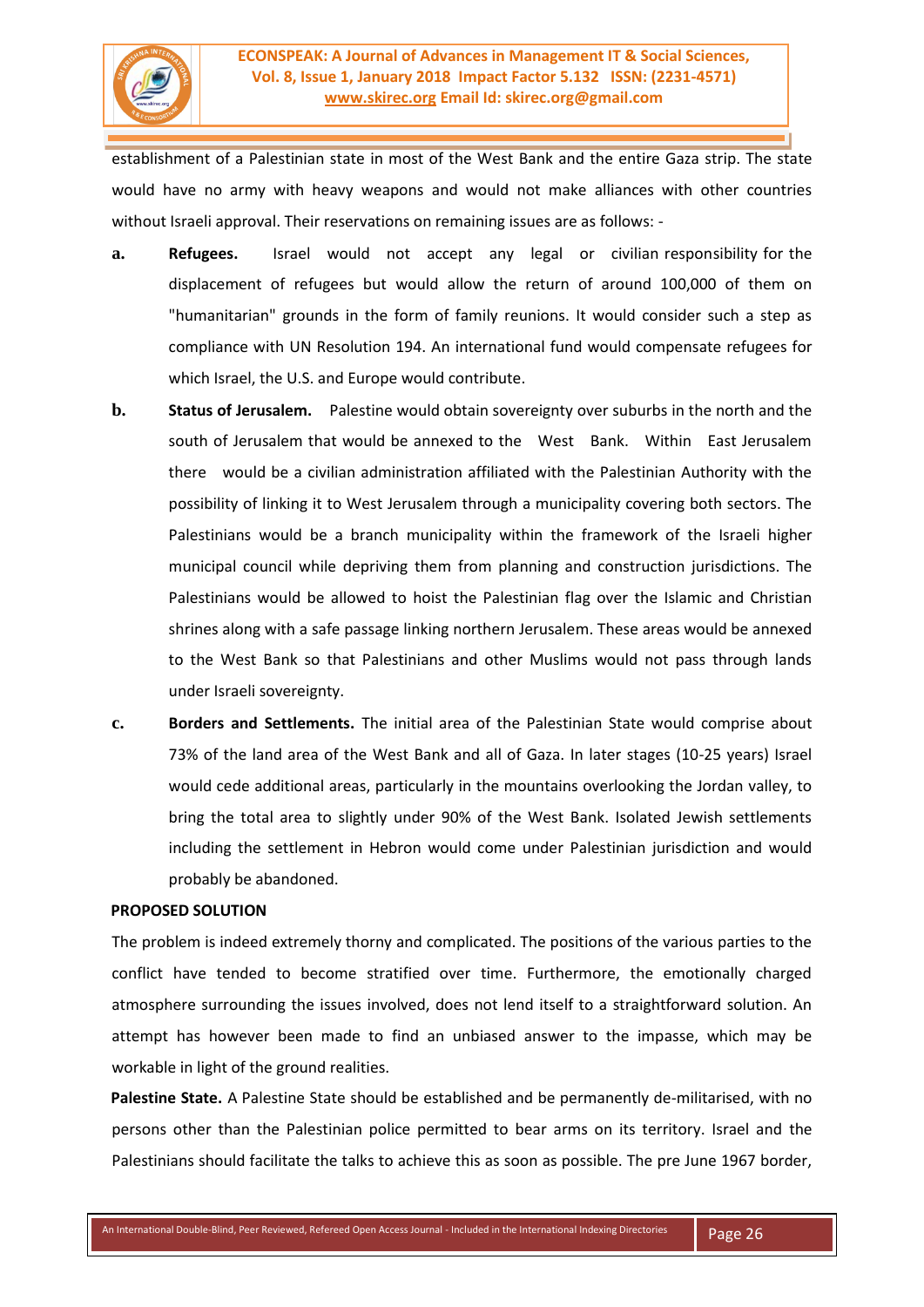

establishment of a Palestinian state in most of the West Bank and the entire Gaza strip. The state would have no army with heavy weapons and would not make alliances with other countries without Israeli approval. Their reservations on remaining issues are as follows: -

- **a. Refugees.** Israel would not accept any legal or civilian responsibility for the displacement of refugees but would allow the return of around 100,000 of them on "humanitarian" grounds in the form of family reunions. It would consider such a step as compliance with UN Resolution 194. An international fund would compensate refugees for which Israel, the U.S. and Europe would contribute.
- **b. Status of Jerusalem.** Palestine would obtain sovereignty over suburbs in the north and the south of Jerusalem that would be annexed to the West Bank. Within East Jerusalem there would be a civilian administration affiliated with the Palestinian Authority with the possibility of linking it to West Jerusalem through a municipality covering both sectors. The Palestinians would be a branch municipality within the framework of the Israeli higher municipal council while depriving them from planning and construction jurisdictions. The Palestinians would be allowed to hoist the Palestinian flag over the Islamic and Christian shrines along with a safe passage linking northern Jerusalem. These areas would be annexed to the West Bank so that Palestinians and other Muslims would not pass through lands under Israeli sovereignty.
- **c. Borders and Settlements.** The initial area of the Palestinian State would comprise about 73% of the land area of the West Bank and all of Gaza. In later stages (10-25 years) Israel would cede additional areas, particularly in the mountains overlooking the Jordan valley, to bring the total area to slightly under 90% of the West Bank. Isolated Jewish settlements including the settlement in Hebron would come under Palestinian jurisdiction and would probably be abandoned.

#### **PROPOSED SOLUTION**

The problem is indeed extremely thorny and complicated. The positions of the various parties to the conflict have tended to become stratified over time. Furthermore, the emotionally charged atmosphere surrounding the issues involved, does not lend itself to a straightforward solution. An attempt has however been made to find an unbiased answer to the impasse, which may be workable in light of the ground realities.

**Palestine State.** A Palestine State should be established and be permanently de-militarised, with no persons other than the Palestinian police permitted to bear arms on its territory. Israel and the Palestinians should facilitate the talks to achieve this as soon as possible. The pre June 1967 border,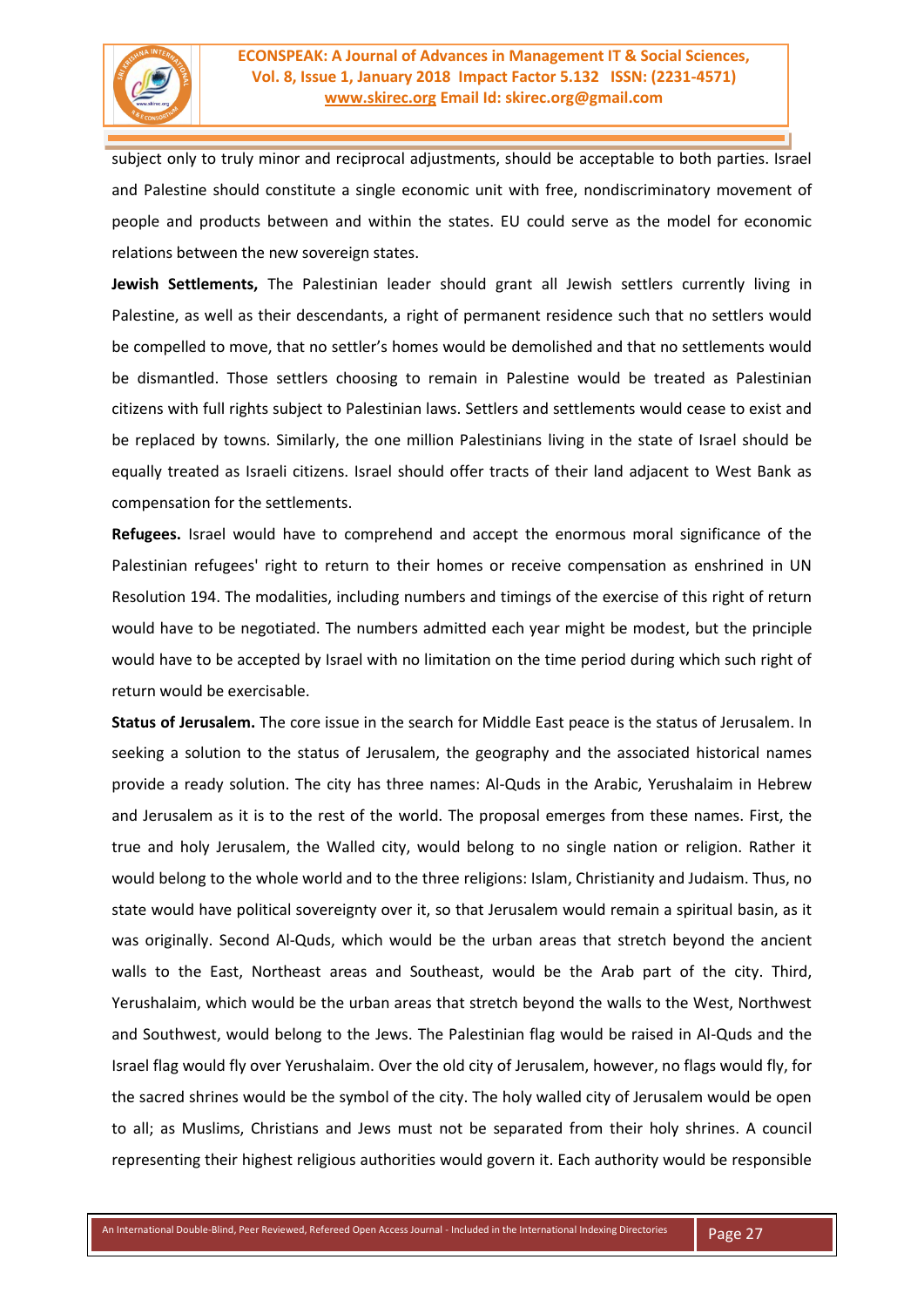

subject only to truly minor and reciprocal adjustments, should be acceptable to both parties. Israel and Palestine should constitute a single economic unit with free, nondiscriminatory movement of people and products between and within the states. EU could serve as the model for economic relations between the new sovereign states.

**Jewish Settlements,** The Palestinian leader should grant all Jewish settlers currently living in Palestine, as well as their descendants, a right of permanent residence such that no settlers would be compelled to move, that no settler's homes would be demolished and that no settlements would be dismantled. Those settlers choosing to remain in Palestine would be treated as Palestinian citizens with full rights subject to Palestinian laws. Settlers and settlements would cease to exist and be replaced by towns. Similarly, the one million Palestinians living in the state of Israel should be equally treated as Israeli citizens. Israel should offer tracts of their land adjacent to West Bank as compensation for the settlements.

**Refugees.** Israel would have to comprehend and accept the enormous moral significance of the Palestinian refugees' right to return to their homes or receive compensation as enshrined in UN Resolution 194. The modalities, including numbers and timings of the exercise of this right of return would have to be negotiated. The numbers admitted each year might be modest, but the principle would have to be accepted by Israel with no limitation on the time period during which such right of return would be exercisable.

**Status of Jerusalem.** The core issue in the search for Middle East peace is the status of Jerusalem. In seeking a solution to the status of Jerusalem, the geography and the associated historical names provide a ready solution. The city has three names: Al-Quds in the Arabic, Yerushalaim in Hebrew and Jerusalem as it is to the rest of the world. The proposal emerges from these names. First, the true and holy Jerusalem, the Walled city, would belong to no single nation or religion. Rather it would belong to the whole world and to the three religions: Islam, Christianity and Judaism. Thus, no state would have political sovereignty over it, so that Jerusalem would remain a spiritual basin, as it was originally. Second Al-Quds, which would be the urban areas that stretch beyond the ancient walls to the East, Northeast areas and Southeast, would be the Arab part of the city. Third, Yerushalaim, which would be the urban areas that stretch beyond the walls to the West, Northwest and Southwest, would belong to the Jews. The Palestinian flag would be raised in Al-Quds and the Israel flag would fly over Yerushalaim. Over the old city of Jerusalem, however, no flags would fly, for the sacred shrines would be the symbol of the city. The holy walled city of Jerusalem would be open to all; as Muslims, Christians and Jews must not be separated from their holy shrines. A council representing their highest religious authorities would govern it. Each authority would be responsible